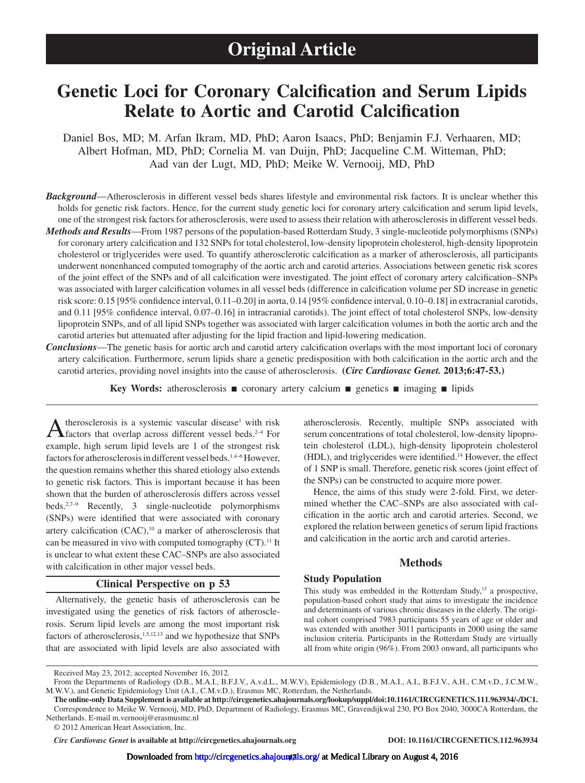# **Genetic Loci for Coronary Calcification and Serum Lipids Relate to Aortic and Carotid Calcification**

Daniel Bos, MD; M. Arfan Ikram, MD, PhD; Aaron Isaacs, PhD; Benjamin F.J. Verhaaren, MD; Albert Hofman, MD, PhD; Cornelia M. van Duijn, PhD; Jacqueline C.M. Witteman, PhD; Aad van der Lugt, MD, PhD; Meike W. Vernooij, MD, PhD

*Background*—Atherosclerosis in different vessel beds shares lifestyle and environmental risk factors. It is unclear whether this holds for genetic risk factors. Hence, for the current study genetic loci for coronary artery calcification and serum lipid levels, one of the strongest risk factors for atherosclerosis, were used to assess their relation with atherosclerosis in different vessel beds. *Methods and Results*—From 1987 persons of the population-based Rotterdam Study, 3 single-nucleotide polymorphisms (SNPs)

for coronary artery calcification and 132 SNPs for total cholesterol, low-density lipoprotein cholesterol, high-density lipoprotein cholesterol or triglycerides were used. To quantify atherosclerotic calcification as a marker of atherosclerosis, all participants underwent nonenhanced computed tomography of the aortic arch and carotid arteries. Associations between genetic risk scores of the joint effect of the SNPs and of all calcification were investigated. The joint effect of coronary artery calcification–SNPs was associated with larger calcification volumes in all vessel beds (difference in calcification volume per SD increase in genetic risk score: 0.15 [95% confidence interval, 0.11–0.20] in aorta, 0.14 [95% confidence interval, 0.10–0.18] in extracranial carotids, and 0.11 [95% confidence interval, 0.07–0.16] in intracranial carotids). The joint effect of total cholesterol SNPs, low-density lipoprotein SNPs, and of all lipid SNPs together was associated with larger calcification volumes in both the aortic arch and the carotid arteries but attenuated after adjusting for the lipid fraction and lipid-lowering medication.

*Conclusions*—The genetic basis for aortic arch and carotid artery calcification overlaps with the most important loci of coronary artery calcification. Furthermore, serum lipids share a genetic predisposition with both calcification in the aortic arch and the carotid arteries, providing novel insights into the cause of atherosclerosis. **(***Circ Cardiovasc Genet.* **2013;6:47-53.)**

**Key Words:** atherosclerosis ■ coronary artery calcium ■ genetics ■ imaging ■ lipids

A therosclerosis is a systemic vascular disease<sup>1</sup> with risk<br>factors that overlap across different vessel beds.<sup>2-4</sup> For therosclerosis is a systemic vascular disease<sup>1</sup> with risk example, high serum lipid levels are 1 of the strongest risk factors for atherosclerosis in different vessel beds.<sup>1,4–6</sup> However, the question remains whether this shared etiology also extends to genetic risk factors. This is important because it has been shown that the burden of atherosclerosis differs across vessel beds.2,7–9 Recently, 3 single-nucleotide polymorphisms (SNPs) were identified that were associated with coronary artery calcification  $(CAC)$ ,<sup>10</sup> a marker of atherosclerosis that can be measured in vivo with computed tomography  $(CT)$ .<sup>11</sup> It is unclear to what extent these CAC–SNPs are also associated with calcification in other major vessel beds.

## **Clinical Perspective on p 53**

Alternatively, the genetic basis of atherosclerosis can be investigated using the genetics of risk factors of atherosclerosis. Serum lipid levels are among the most important risk factors of atherosclerosis,<sup>1,5,12,13</sup> and we hypothesize that SNPs that are associated with lipid levels are also associated with atherosclerosis. Recently, multiple SNPs associated with serum concentrations of total cholesterol, low-density lipoprotein cholesterol (LDL), high-density lipoprotein cholesterol (HDL), and triglycerides were identified.14 However, the effect of 1 SNP is small. Therefore, genetic risk scores (joint effect of the SNPs) can be constructed to acquire more power.

Hence, the aims of this study were 2-fold. First, we determined whether the CAC–SNPs are also associated with calcification in the aortic arch and carotid arteries. Second, we explored the relation between genetics of serum lipid fractions and calcification in the aortic arch and carotid arteries.

# **Methods**

# **Study Population**

This study was embedded in the Rotterdam Study,<sup>15</sup> a prospective, population-based cohort study that aims to investigate the incidence and determinants of various chronic diseases in the elderly. The original cohort comprised 7983 participants 55 years of age or older and was extended with another 3011 participants in 2000 using the same inclusion criteria. Participants in the Rotterdam Study are virtually all from white origin (96%). From 2003 onward, all participants who

© 2012 American Heart Association, Inc.

*Circ Cardiovasc Genet* **is available at http://circgenetics.ahajournals.org DOI: 10.1161/CIRCGENETICS.112.963934**

Received May 23, 2012; accepted November 16, 2012.

From the Departments of Radiology (D.B., M.A.I., B.F.J.V., A.v.d.L., M.W.V), Epidemiology (D.B., M.A.I., A.I., B.F.J.V., A.H., C.M.v.D., J.C.M.W., M.W.V.), and Genetic Epidemiology Unit (A.I., C.M.v.D.), Erasmus MC, Rotterdam, the Netherlands.

**The online-only Data Supplement is available at http://circgenetics.ahajournals.org/lookup/suppl/doi:10.1161/CIRCGENETICS.111[.963934/-/DC1.](http://circgenetics.ahajournals.org/lookup/suppl/doi:10.1161/CIRCGENETICS.112.963934/-/DC1)** Correspondence to Meike W. Vernooij, MD, PhD, Department of Radiology, Erasmus MC, Gravendijkwal 230, PO Box 2040, 3000CA Rotterdam, the Netherlands. E-mail [m.vernooij@erasmusmc.nl](mailto:m.vernooij@erasmusmc.nl)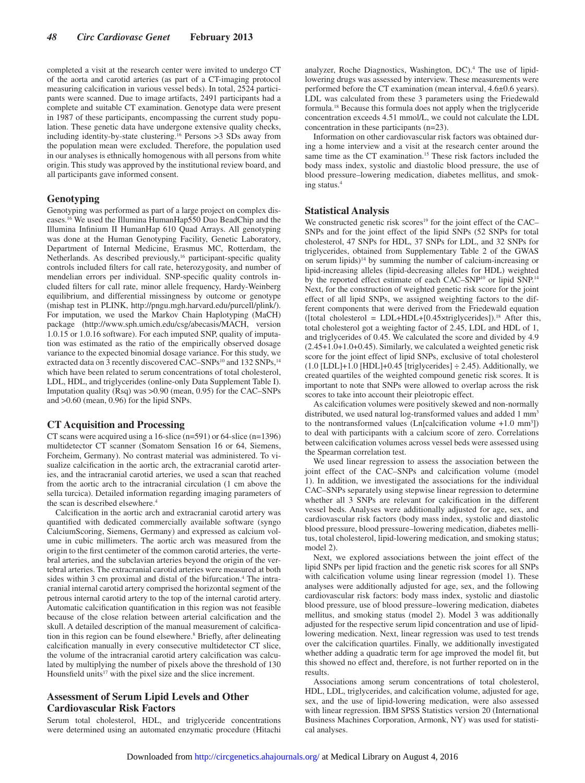completed a visit at the research center were invited to undergo CT of the aorta and carotid arteries (as part of a CT-imaging protocol measuring calcification in various vessel beds). In total, 2524 participants were scanned. Due to image artifacts, 2491 participants had a complete and suitable CT examination. Genotype data were present in 1987 of these participants, encompassing the current study population. These genetic data have undergone extensive quality checks, including identity-by-state clustering.16 Persons >3 SDs away from the population mean were excluded. Therefore, the population used in our analyses is ethnically homogenous with all persons from white origin. This study was approved by the institutional review board, and all participants gave informed consent.

#### **Genotyping**

Genotyping was performed as part of a large project on complex diseases.16 We used the Illumina HumanHap550 Duo BeadChip and the Illumina Infinium II HumanHap 610 Quad Arrays. All genotyping was done at the Human Genotyping Facility, Genetic Laboratory, Department of Internal Medicine, Erasmus MC, Rotterdam, the Netherlands. As described previously,<sup>16</sup> participant-specific quality controls included filters for call rate, heterozygosity, and number of mendelian errors per individual. SNP-specific quality controls included filters for call rate, minor allele frequency, Hardy-Weinberg equilibrium, and differential missingness by outcome or genotype (mishap test in PLINK, <http://pngu.mgh.harvard.edu/purcell/plink/>). For imputation, we used the Markov Chain Haplotyping (MaCH) package (<http://www.sph.umich.edu/csg/abecasis/MACH,>version 1.0.15 or 1.0.16 software). For each imputed SNP, quality of imputation was estimated as the ratio of the empirically observed dosage variance to the expected binomial dosage variance. For this study, we extracted data on 3 recently discovered CAC–SNPs<sup>10</sup> and 132 SNPs,<sup>14</sup> which have been related to serum concentrations of total cholesterol, LDL, HDL, and triglycerides (online-only Data Supplement Table I). Imputation quality (Rsq) was >0.90 (mean, 0.95) for the CAC–SNPs and >0.60 (mean, 0.96) for the lipid SNPs.

#### **CT Acquisition and Processing**

CT scans were acquired using a 16-slice (n=591) or 64-slice (n=1396) multidetector CT scanner (Somatom Sensation 16 or 64, Siemens, Forcheim, Germany). No contrast material was administered. To visualize calcification in the aortic arch, the extracranial carotid arteries, and the intracranial carotid arteries, we used a scan that reached from the aortic arch to the intracranial circulation (1 cm above the sella turcica). Detailed information regarding imaging parameters of the scan is described elsewhere.<sup>4</sup>

Calcification in the aortic arch and extracranial carotid artery was quantified with dedicated commercially available software (syngo CalciumScoring, Siemens, Germany) and expressed as calcium volume in cubic millimeters. The aortic arch was measured from the origin to the first centimeter of the common carotid arteries, the vertebral arteries, and the subclavian arteries beyond the origin of the vertebral arteries. The extracranial carotid arteries were measured at both sides within 3 cm proximal and distal of the bifurcation.<sup>4</sup> The intracranial internal carotid artery comprised the horizontal segment of the petrous internal carotid artery to the top of the internal carotid artery. Automatic calcification quantification in this region was not feasible because of the close relation between arterial calcification and the skull. A detailed description of the manual measurement of calcification in this region can be found elsewhere.<sup>8</sup> Briefly, after delineating calcification manually in every consecutive multidetector CT slice, the volume of the intracranial carotid artery calcification was calculated by multiplying the number of pixels above the threshold of 130 Hounsfield units $17$  with the pixel size and the slice increment.

## **Assessment of Serum Lipid Levels and Other Cardiovascular Risk Factors**

Serum total cholesterol, HDL, and triglyceride concentrations were determined using an automated enzymatic procedure (Hitachi

analyzer, Roche Diagnostics, Washington, DC).<sup>4</sup> The use of lipidlowering drugs was assessed by interview. These measurements were performed before the CT examination (mean interval, 4.6±0.6 years). LDL was calculated from these 3 parameters using the Friedewald formula.18 Because this formula does not apply when the triglyceride concentration exceeds 4.51 mmol/L, we could not calculate the LDL concentration in these participants (n=23).

Information on other cardiovascular risk factors was obtained during a home interview and a visit at the research center around the same time as the CT examination.<sup>15</sup> These risk factors included the body mass index, systolic and diastolic blood pressure, the use of blood pressure–lowering medication, diabetes mellitus, and smoking status.4

#### **Statistical Analysis**

We constructed genetic risk scores<sup>19</sup> for the joint effect of the CAC– SNPs and for the joint effect of the lipid SNPs (52 SNPs for total cholesterol, 47 SNPs for HDL, 37 SNPs for LDL, and 32 SNPs for triglycerides, obtained from Supplementary Table 2 of the GWAS on serum lipids) $14$  by summing the number of calcium-increasing or lipid-increasing alleles (lipid-decreasing alleles for HDL) weighted by the reported effect estimate of each CAC–SNP<sup>10</sup> or lipid SNP.<sup>14</sup> Next, for the construction of weighted genetic risk score for the joint effect of all lipid SNPs, we assigned weighting factors to the different components that were derived from the Friedewald equation ([total cholesterol =  $LDL+HDL+[0.45\times triglycerides])$ .<sup>18</sup> After this, total cholesterol got a weighting factor of 2.45, LDL and HDL of 1, and triglycerides of 0.45. We calculated the score and divided by 4.9 (2.45+1.0+1.0+0.45). Similarly, we calculated a weighted genetic risk score for the joint effect of lipid SNPs, exclusive of total cholesterol  $(1.0$  [LDL]+1.0 [HDL]+0.45 [triglycerides]  $\div$  2.45). Additionally, we created quartiles of the weighted compound genetic risk scores. It is important to note that SNPs were allowed to overlap across the risk scores to take into account their pleiotropic effect.

As calcification volumes were positively skewed and non-normally distributed, we used natural log-transformed values and added 1 mm<sup>3</sup> to the nontransformed values  $(Ln[calcification volume +1.0 mm<sup>3</sup>])$ to deal with participants with a calcium score of zero. Correlations between calcification volumes across vessel beds were assessed using the Spearman correlation test.

We used linear regression to assess the association between the joint effect of the CAC–SNPs and calcification volume (model 1). In addition, we investigated the associations for the individual CAC–SNPs separately using stepwise linear regression to determine whether all 3 SNPs are relevant for calcification in the different vessel beds. Analyses were additionally adjusted for age, sex, and cardiovascular risk factors (body mass index, systolic and diastolic blood pressure, blood pressure–lowering medication, diabetes mellitus, total cholesterol, lipid-lowering medication, and smoking status; model 2).

Next, we explored associations between the joint effect of the lipid SNPs per lipid fraction and the genetic risk scores for all SNPs with calcification volume using linear regression (model 1). These analyses were additionally adjusted for age, sex, and the following cardiovascular risk factors: body mass index, systolic and diastolic blood pressure, use of blood pressure–lowering medication, diabetes mellitus, and smoking status (model 2). Model 3 was additionally adjusted for the respective serum lipid concentration and use of lipidlowering medication. Next, linear regression was used to test trends over the calcification quartiles. Finally, we additionally investigated whether adding a quadratic term for age improved the model fit, but this showed no effect and, therefore, is not further reported on in the results.

Associations among serum concentrations of total cholesterol, HDL, LDL, triglycerides, and calcification volume, adjusted for age, sex, and the use of lipid-lowering medication, were also assessed with linear regression. IBM SPSS Statistics version 20 (International Business Machines Corporation, Armonk, NY) was used for statistical analyses.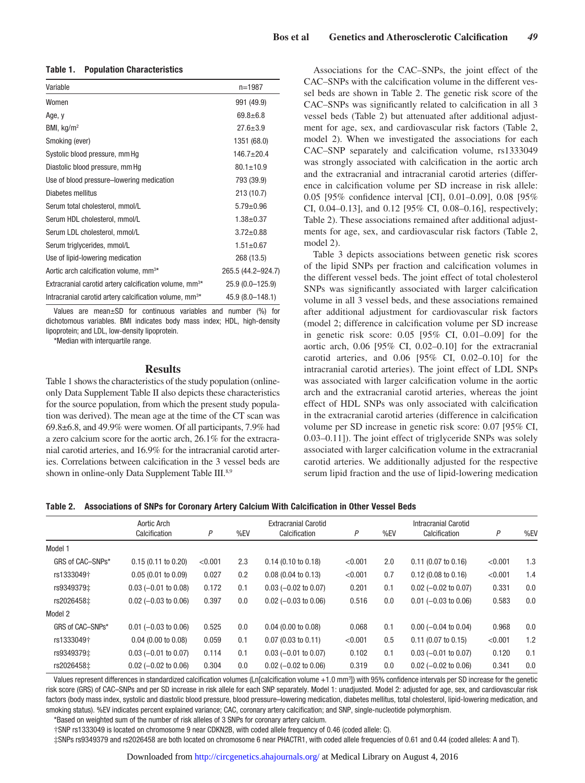|  | Table 1. |  |  |  | <b>Population Characteristics</b> |
|--|----------|--|--|--|-----------------------------------|
|--|----------|--|--|--|-----------------------------------|

| Variable                                                           | $n = 1987$         |
|--------------------------------------------------------------------|--------------------|
| Women                                                              | 991 (49.9)         |
| Age, y                                                             | $69.8 + 6.8$       |
| BMI, $kg/m2$                                                       | $27.6 \pm 3.9$     |
| Smoking (ever)                                                     | 1351 (68.0)        |
| Systolic blood pressure, mm Hg                                     | $146.7 + 20.4$     |
| Diastolic blood pressure, mm Hq                                    | $80.1 \pm 10.9$    |
| Use of blood pressure–lowering medication                          | 793 (39.9)         |
| Diabetes mellitus                                                  | 213 (10.7)         |
| Serum total cholesterol, mmol/L                                    | $5.79 \pm 0.96$    |
| Serum HDL cholesterol, mmol/L                                      | $1.38 \pm 0.37$    |
| Serum LDL cholesterol, mmol/L                                      | $3.72 \pm 0.88$    |
| Serum triglycerides, mmol/L                                        | $1.51 \pm 0.67$    |
| Use of lipid-lowering medication                                   | 268 (13.5)         |
| Aortic arch calcification volume, mm <sup>3*</sup>                 | 265.5 (44.2-924.7) |
| Extracranial carotid artery calcification volume, mm <sup>3*</sup> | 25.9 (0.0-125.9)   |
| Intracranial carotid artery calcification volume, mm <sup>3*</sup> | 45.9 (8.0-148.1)   |

Values are mean±SD for continuous variables and number (%) for dichotomous variables. BMI indicates body mass index; HDL, high-density lipoprotein; and LDL, low-density lipoprotein.

\*Median with interquartile range.

## **Results**

Table 1 shows the characteristics of the study population (onlineonly Data Supplement Table II also depicts these characteristics for the source population, from which the present study population was derived). The mean age at the time of the CT scan was 69.8±6.8, and 49.9% were women. Of all participants, 7.9% had a zero calcium score for the aortic arch, 26.1% for the extracranial carotid arteries, and 16.9% for the intracranial carotid arteries. Correlations between calcification in the 3 vessel beds are shown in online-only Data Supplement Table III.<sup>8,9</sup>

Associations for the CAC–SNPs, the joint effect of the CAC–SNPs with the calcification volume in the different vessel beds are shown in Table 2. The genetic risk score of the CAC–SNPs was significantly related to calcification in all 3 vessel beds (Table 2) but attenuated after additional adjustment for age, sex, and cardiovascular risk factors (Table 2, model 2). When we investigated the associations for each CAC–SNP separately and calcification volume, rs1333049 was strongly associated with calcification in the aortic arch and the extracranial and intracranial carotid arteries (difference in calcification volume per SD increase in risk allele: 0.05 [95% confidence interval [CI], 0.01–0.09], 0.08 [95% CI, 0.04–0.13], and 0.12 [95% CI, 0.08–0.16], respectively; Table 2). These associations remained after additional adjustments for age, sex, and cardiovascular risk factors (Table 2, model 2).

Table 3 depicts associations between genetic risk scores of the lipid SNPs per fraction and calcification volumes in the different vessel beds. The joint effect of total cholesterol SNPs was significantly associated with larger calcification volume in all 3 vessel beds, and these associations remained after additional adjustment for cardiovascular risk factors (model 2; difference in calcification volume per SD increase in genetic risk score: 0.05 [95% CI, 0.01–0.09] for the aortic arch, 0.06 [95% CI, 0.02–0.10] for the extracranial carotid arteries, and 0.06 [95% CI, 0.02–0.10] for the intracranial carotid arteries). The joint effect of LDL SNPs was associated with larger calcification volume in the aortic arch and the extracranial carotid arteries, whereas the joint effect of HDL SNPs was only associated with calcification in the extracranial carotid arteries (difference in calcification volume per SD increase in genetic risk score: 0.07 [95% CI, 0.03–0.11]). The joint effect of triglyceride SNPs was solely associated with larger calcification volume in the extracranial carotid arteries. We additionally adjusted for the respective serum lipid fraction and the use of lipid-lowering medication

|  | Table 2. Associations of SNPs for Coronary Artery Calcium With Calcification in Other Vessel Beds |  |  |  |  |  |
|--|---------------------------------------------------------------------------------------------------|--|--|--|--|--|
|--|---------------------------------------------------------------------------------------------------|--|--|--|--|--|

|                        | Aortic Arch              |         |     | <b>Extracranial Carotid</b> |         |        | Intracranial Carotid   |         |     |
|------------------------|--------------------------|---------|-----|-----------------------------|---------|--------|------------------------|---------|-----|
|                        | Calcification            | P       | %EV | Calcification               | P       | $%$ EV | Calcification          | P       | %EV |
| Model 1                |                          |         |     |                             |         |        |                        |         |     |
| GRS of CAC-SNPs*       | $0.15(0.11)$ to $0.20$ ) | < 0.001 | 2.3 | $0.14$ (0.10 to 0.18)       | < 0.001 | 2.0    | $0.11$ (0.07 to 0.16)  | < 0.001 | 1.3 |
| rs1333049 <sup>+</sup> | 0.05(0.01 to 0.09)       | 0.027   | 0.2 | $0.08$ (0.04 to 0.13)       | < 0.001 | 0.7    | $0.12$ (0.08 to 0.16)  | < 0.001 | 1.4 |
| rs9349379±             | $0.03$ (-0.01 to 0.08)   | 0.172   | 0.1 | $0.03$ (-0.02 to 0.07)      | 0.201   | 0.1    | $0.02$ (-0.02 to 0.07) | 0.331   | 0.0 |
| rs2026458‡             | $0.02$ (-0.03 to 0.06)   | 0.397   | 0.0 | $0.02$ (-0.03 to 0.06)      | 0.516   | 0.0    | $0.01$ (-0.03 to 0.06) | 0.583   | 0.0 |
| Model 2                |                          |         |     |                             |         |        |                        |         |     |
| GRS of CAC-SNPs*       | $0.01$ (-0.03 to 0.06)   | 0.525   | 0.0 | $0.04$ (0.00 to 0.08)       | 0.068   | 0.1    | $0.00$ (-0.04 to 0.04) | 0.968   | 0.0 |
| rs1333049+             | $0.04$ (0.00 to 0.08)    | 0.059   | 0.1 | $0.07$ (0.03 to 0.11)       | < 0.001 | 0.5    | $0.11$ (0.07 to 0.15)  | < 0.001 | 1.2 |
| rs9349379±             | $0.03$ (-0.01 to 0.07)   | 0.114   | 0.1 | $0.03$ (-0.01 to 0.07)      | 0.102   | 0.1    | $0.03$ (-0.01 to 0.07) | 0.120   | 0.1 |
| rs2026458‡             | $0.02$ (-0.02 to 0.06)   | 0.304   | 0.0 | $0.02$ (-0.02 to 0.06)      | 0.319   | 0.0    | $0.02$ (-0.02 to 0.06) | 0.341   | 0.0 |

Values represent differences in standardized calcification volumes (Ln[calcification volume +1.0 mm3)) with 95% confidence intervals per SD increase for the genetic risk score (GRS) of CAC–SNPs and per SD increase in risk allele for each SNP separately. Model 1: unadjusted. Model 2: adjusted for age, sex, and cardiovascular risk factors (body mass index, systolic and diastolic blood pressure, blood pressure–lowering medication, diabetes mellitus, total cholesterol, lipid-lowering medication, and smoking status). %EV indicates percent explained variance; CAC, coronary artery calcification; and SNP, single-nucleotide polymorphism.

\*Based on weighted sum of the number of risk alleles of 3 SNPs for coronary artery calcium.

†SNP rs1333049 is located on chromosome 9 near CDKN2B, with coded allele frequency of 0.46 (coded allele: C).

‡SNPs rs9349379 and rs2026458 are both located on chromosome 6 near PHACTR1, with coded allele frequencies of 0.61 and 0.44 (coded alleles: A and T).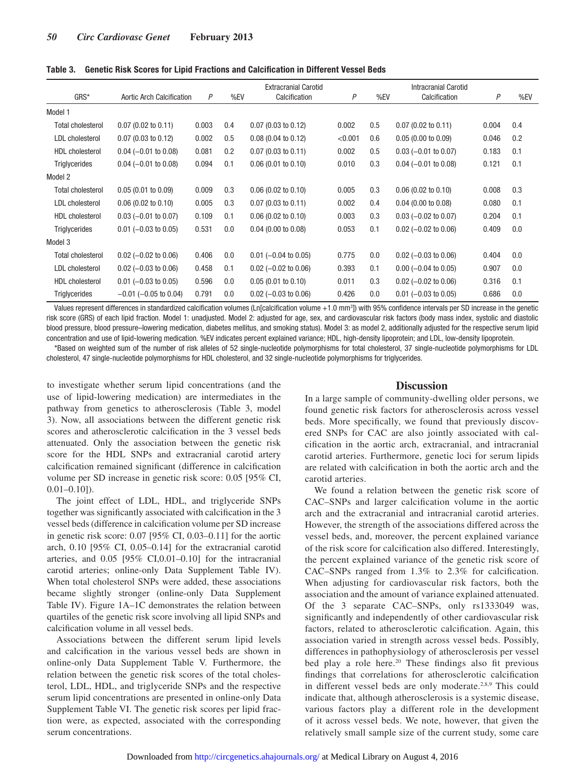|                          |                                 |       |     | <b>Extracranial Carotid</b> |         |        | Intracranial Carotid            |       |        |
|--------------------------|---------------------------------|-------|-----|-----------------------------|---------|--------|---------------------------------|-------|--------|
| GRS*                     | Aortic Arch Calcification       | P     | %EV | Calcification               | P       | $%$ EV | Calcification                   | P     | $%$ EV |
| Model 1                  |                                 |       |     |                             |         |        |                                 |       |        |
| <b>Total cholesterol</b> | $0.07$ (0.02 to 0.11)           | 0.003 | 0.4 | $0.07$ (0.03 to 0.12)       | 0.002   | 0.5    | $0.07$ (0.02 to 0.11)           | 0.004 | 0.4    |
| <b>LDL</b> cholesterol   | $0.07$ (0.03 to 0.12)           | 0.002 | 0.5 | $0.08$ (0.04 to 0.12)       | < 0.001 | 0.6    | 0.05(0.00 to 0.09)              | 0.046 | 0.2    |
| <b>HDL</b> cholesterol   | $0.04 (-0.01 \text{ to } 0.08)$ | 0.081 | 0.2 | $0.07$ (0.03 to 0.11)       | 0.002   | 0.5    | $0.03$ (-0.01 to 0.07)          | 0.183 | 0.1    |
| <b>Triglycerides</b>     | $0.04 (-0.01 \text{ to } 0.08)$ | 0.094 | 0.1 | 0.06(0.01 to 0.10)          | 0.010   | 0.3    | $0.04 (-0.01 \text{ to } 0.08)$ | 0.121 | 0.1    |
| Model 2                  |                                 |       |     |                             |         |        |                                 |       |        |
| <b>Total cholesterol</b> | 0.05(0.01 to 0.09)              | 0.009 | 0.3 | $0.06$ (0.02 to 0.10)       | 0.005   | 0.3    | $0.06$ (0.02 to 0.10)           | 0.008 | 0.3    |
| <b>LDL</b> cholesterol   | $0.06$ (0.02 to 0.10)           | 0.005 | 0.3 | $0.07$ (0.03 to 0.11)       | 0.002   | 0.4    | $0.04$ (0.00 to 0.08)           | 0.080 | 0.1    |
| <b>HDL</b> cholesterol   | $0.03$ (-0.01 to 0.07)          | 0.109 | 0.1 | $0.06$ (0.02 to 0.10)       | 0.003   | 0.3    | $0.03$ (-0.02 to 0.07)          | 0.204 | 0.1    |
| <b>Triglycerides</b>     | $0.01$ (-0.03 to 0.05)          | 0.531 | 0.0 | $0.04$ (0.00 to 0.08)       | 0.053   | 0.1    | $0.02$ (-0.02 to 0.06)          | 0.409 | 0.0    |
| Model 3                  |                                 |       |     |                             |         |        |                                 |       |        |
| <b>Total cholesterol</b> | $0.02$ (-0.02 to 0.06)          | 0.406 | 0.0 | $0.01$ (-0.04 to 0.05)      | 0.775   | 0.0    | $0.02$ (-0.03 to 0.06)          | 0.404 | 0.0    |
| <b>LDL</b> cholesterol   | $0.02$ (-0.03 to 0.06)          | 0.458 | 0.1 | $0.02$ (-0.02 to 0.06)      | 0.393   | 0.1    | $0.00$ (-0.04 to 0.05)          | 0.907 | 0.0    |
| <b>HDL</b> cholesterol   | $0.01$ (-0.03 to 0.05)          | 0.596 | 0.0 | 0.05(0.01 to 0.10)          | 0.011   | 0.3    | $0.02$ (-0.02 to 0.06)          | 0.316 | 0.1    |
| <b>Triglycerides</b>     | $-0.01$ ( $-0.05$ to 0.04)      | 0.791 | 0.0 | $0.02$ (-0.03 to 0.06)      | 0.426   | 0.0    | $0.01$ (-0.03 to 0.05)          | 0.686 | 0.0    |

**Table 3. Genetic Risk Scores for Lipid Fractions and Calcification in Different Vessel Beds**

Values represent differences in standardized calcification volumes (Ln[calcification volume +1.0 mm3]) with 95% confidence intervals per SD increase in the genetic risk score (GRS) of each lipid fraction. Model 1: unadjusted. Model 2: adjusted for age, sex, and cardiovascular risk factors (body mass index, systolic and diastolic blood pressure, blood pressure–lowering medication, diabetes mellitus, and smoking status). Model 3: as model 2, additionally adjusted for the respective serum lipid concentration and use of lipid-lowering medication. %EV indicates percent explained variance; HDL, high-density lipoprotein; and LDL, low-density lipoprotein.

\*Based on weighted sum of the number of risk alleles of 52 single-nucleotide polymorphisms for total cholesterol, 37 single-nucleotide polymorphisms for LDL cholesterol, 47 single-nucleotide polymorphisms for HDL cholesterol, and 32 single-nucleotide polymorphisms for triglycerides.

to investigate whether serum lipid concentrations (and the use of lipid-lowering medication) are intermediates in the pathway from genetics to atherosclerosis (Table 3, model 3). Now, all associations between the different genetic risk scores and atherosclerotic calcification in the 3 vessel beds attenuated. Only the association between the genetic risk score for the HDL SNPs and extracranial carotid artery calcification remained significant (difference in calcification volume per SD increase in genetic risk score: 0.05 [95% CI,  $0.01 - 0.10$ ]).

The joint effect of LDL, HDL, and triglyceride SNPs together was significantly associated with calcification in the 3 vessel beds (difference in calcification volume per SD increase in genetic risk score: 0.07 [95% CI, 0.03–0.11] for the aortic arch, 0.10 [95% CI, 0.05–0.14] for the extracranial carotid arteries, and 0.05 [95% CI,0.01–0.10] for the intracranial carotid arteries; online-only Data Supplement Table IV). When total cholesterol SNPs were added, these associations became slightly stronger (online-only Data Supplement Table IV). Figure 1A–1C demonstrates the relation between quartiles of the genetic risk score involving all lipid SNPs and calcification volume in all vessel beds.

Associations between the different serum lipid levels and calcification in the various vessel beds are shown in online-only Data Supplement Table V. Furthermore, the relation between the genetic risk scores of the total cholesterol, LDL, HDL, and triglyceride SNPs and the respective serum lipid concentrations are presented in online-only Data Supplement Table VI. The genetic risk scores per lipid fraction were, as expected, associated with the corresponding serum concentrations.

# **Discussion**

In a large sample of community-dwelling older persons, we found genetic risk factors for atherosclerosis across vessel beds. More specifically, we found that previously discovered SNPs for CAC are also jointly associated with calcification in the aortic arch, extracranial, and intracranial carotid arteries. Furthermore, genetic loci for serum lipids are related with calcification in both the aortic arch and the carotid arteries.

We found a relation between the genetic risk score of CAC–SNPs and larger calcification volume in the aortic arch and the extracranial and intracranial carotid arteries. However, the strength of the associations differed across the vessel beds, and, moreover, the percent explained variance of the risk score for calcification also differed. Interestingly, the percent explained variance of the genetic risk score of CAC–SNPs ranged from 1.3% to 2.3% for calcification. When adjusting for cardiovascular risk factors, both the association and the amount of variance explained attenuated. Of the 3 separate CAC–SNPs, only rs1333049 was, significantly and independently of other cardiovascular risk factors, related to atherosclerotic calcification. Again, this association varied in strength across vessel beds. Possibly, differences in pathophysiology of atherosclerosis per vessel bed play a role here.20 These findings also fit previous findings that correlations for atherosclerotic calcification in different vessel beds are only moderate.<sup>2,8,9</sup> This could indicate that, although atherosclerosis is a systemic disease, various factors play a different role in the development of it across vessel beds. We note, however, that given the relatively small sample size of the current study, some care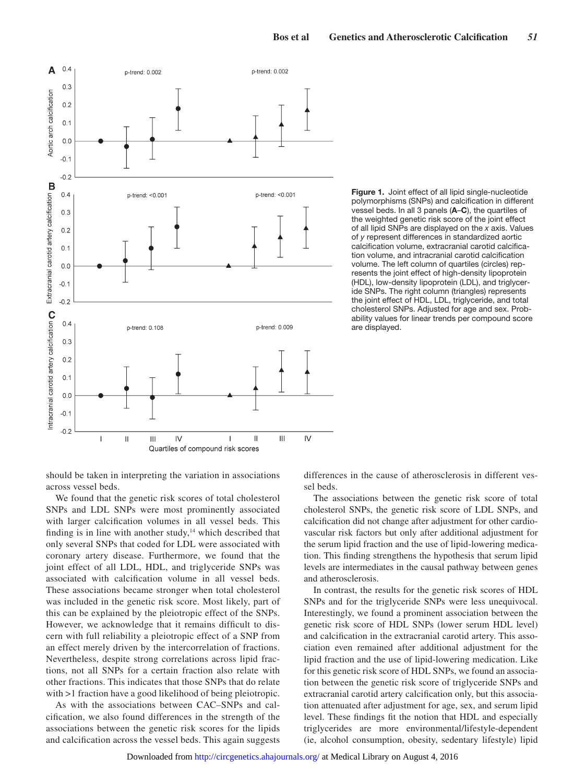

**Figure 1.** Joint effect of all lipid single-nucleotide polymorphisms (SNPs) and calcification in different vessel beds. In all 3 panels (**A**–**C**), the quartiles of the weighted genetic risk score of the joint effect of all lipid SNPs are displayed on the *x* axis. Values of *y* represent differences in standardized aortic calcification volume, extracranial carotid calcification volume, and intracranial carotid calcification volume. The left column of quartiles (circles) represents the joint effect of high-density lipoprotein (HDL), low-density lipoprotein (LDL), and triglyceride SNPs. The right column (triangles) represents the joint effect of HDL, LDL, triglyceride, and total cholesterol SNPs. Adjusted for age and sex. Probability values for linear trends per compound score are displayed.

should be taken in interpreting the variation in associations across vessel beds.

We found that the genetic risk scores of total cholesterol SNPs and LDL SNPs were most prominently associated with larger calcification volumes in all vessel beds. This finding is in line with another study, $14$  which described that only several SNPs that coded for LDL were associated with coronary artery disease. Furthermore, we found that the joint effect of all LDL, HDL, and triglyceride SNPs was associated with calcification volume in all vessel beds. These associations became stronger when total cholesterol was included in the genetic risk score. Most likely, part of this can be explained by the pleiotropic effect of the SNPs. However, we acknowledge that it remains difficult to discern with full reliability a pleiotropic effect of a SNP from an effect merely driven by the intercorrelation of fractions. Nevertheless, despite strong correlations across lipid fractions, not all SNPs for a certain fraction also relate with other fractions. This indicates that those SNPs that do relate with  $>1$  fraction have a good likelihood of being pleiotropic.

As with the associations between CAC–SNPs and calcification, we also found differences in the strength of the associations between the genetic risk scores for the lipids and calcification across the vessel beds. This again suggests differences in the cause of atherosclerosis in different vessel beds.

The associations between the genetic risk score of total cholesterol SNPs, the genetic risk score of LDL SNPs, and calcification did not change after adjustment for other cardiovascular risk factors but only after additional adjustment for the serum lipid fraction and the use of lipid-lowering medication. This finding strengthens the hypothesis that serum lipid levels are intermediates in the causal pathway between genes and atherosclerosis.

In contrast, the results for the genetic risk scores of HDL SNPs and for the triglyceride SNPs were less unequivocal. Interestingly, we found a prominent association between the genetic risk score of HDL SNPs (lower serum HDL level) and calcification in the extracranial carotid artery. This association even remained after additional adjustment for the lipid fraction and the use of lipid-lowering medication. Like for this genetic risk score of HDL SNPs, we found an association between the genetic risk score of triglyceride SNPs and extracranial carotid artery calcification only, but this association attenuated after adjustment for age, sex, and serum lipid level. These findings fit the notion that HDL and especially triglycerides are more environmental/lifestyle-dependent (ie, alcohol consumption, obesity, sedentary lifestyle) lipid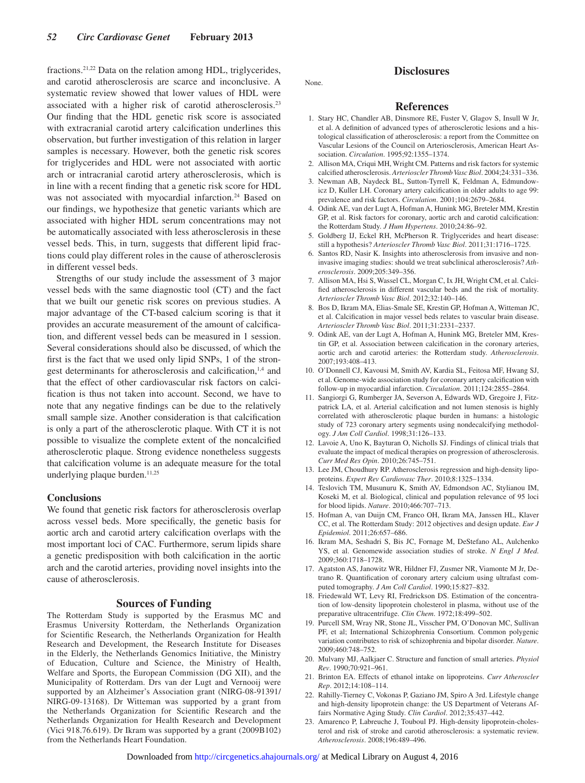fractions.21,22 Data on the relation among HDL, triglycerides, and carotid atherosclerosis are scarce and inconclusive. A systematic review showed that lower values of HDL were associated with a higher risk of carotid atherosclerosis.23 Our finding that the HDL genetic risk score is associated with extracranial carotid artery calcification underlines this observation, but further investigation of this relation in larger samples is necessary. However, both the genetic risk scores for triglycerides and HDL were not associated with aortic arch or intracranial carotid artery atherosclerosis, which is in line with a recent finding that a genetic risk score for HDL was not associated with myocardial infarction.<sup>24</sup> Based on our findings, we hypothesize that genetic variants which are associated with higher HDL serum concentrations may not be automatically associated with less atherosclerosis in these vessel beds. This, in turn, suggests that different lipid fractions could play different roles in the cause of atherosclerosis in different vessel beds.

Strengths of our study include the assessment of 3 major vessel beds with the same diagnostic tool (CT) and the fact that we built our genetic risk scores on previous studies. A major advantage of the CT-based calcium scoring is that it provides an accurate measurement of the amount of calcification, and different vessel beds can be measured in 1 session. Several considerations should also be discussed, of which the first is the fact that we used only lipid SNPs, 1 of the strongest determinants for atherosclerosis and calcification,<sup>1,4</sup> and that the effect of other cardiovascular risk factors on calcification is thus not taken into account. Second, we have to note that any negative findings can be due to the relatively small sample size. Another consideration is that calcification is only a part of the atherosclerotic plaque. With CT it is not possible to visualize the complete extent of the noncalcified atherosclerotic plaque. Strong evidence nonetheless suggests that calcification volume is an adequate measure for the total underlying plaque burden.<sup>11,25</sup>

## **Conclusions**

We found that genetic risk factors for atherosclerosis overlap across vessel beds. More specifically, the genetic basis for aortic arch and carotid artery calcification overlaps with the most important loci of CAC. Furthermore, serum lipids share a genetic predisposition with both calcification in the aortic arch and the carotid arteries, providing novel insights into the cause of atherosclerosis.

#### **Sources of Funding**

The Rotterdam Study is supported by the Erasmus MC and Erasmus University Rotterdam, the Netherlands Organization for Scientific Research, the Netherlands Organization for Health Research and Development, the Research Institute for Diseases in the Elderly, the Netherlands Genomics Initiative, the Ministry of Education, Culture and Science, the Ministry of Health, Welfare and Sports, the European Commission (DG XII), and the Municipality of Rotterdam. Drs van der Lugt and Vernooij were supported by an Alzheimer's Association grant (NIRG-08-91391/ NIRG-09-13168). Dr Witteman was supported by a grant from the Netherlands Organization for Scientific Research and the Netherlands Organization for Health Research and Development (Vici 918.76.619). Dr Ikram was supported by a grant (2009B102) from the Netherlands Heart Foundation.

None.

# **Disclosures**

## **References**

- 1. Stary HC, Chandler AB, Dinsmore RE, Fuster V, Glagov S, Insull W Jr, et al. A definition of advanced types of atherosclerotic lesions and a histological classification of atherosclerosis: a report from the Committee on Vascular Lesions of the Council on Arteriosclerosis, American Heart Association. *Circulation*. 1995;92:1355–1374.
- 2. Allison MA, Criqui MH, Wright CM. Patterns and risk factors for systemic calcified atherosclerosis. *Arterioscler Thromb Vasc Biol*. 2004;24:331–336.
- 3. Newman AB, Naydeck BL, Sutton-Tyrrell K, Feldman A, Edmundowicz D, Kuller LH. Coronary artery calcification in older adults to age 99: prevalence and risk factors. *Circulation*. 2001;104:2679–2684.
- 4. Odink AE, van der Lugt A, Hofman A, Hunink MG, Breteler MM, Krestin GP, et al. Risk factors for coronary, aortic arch and carotid calcification: the Rotterdam Study. *J Hum Hypertens*. 2010;24:86–92.
- 5. Goldberg IJ, Eckel RH, McPherson R. Triglycerides and heart disease: still a hypothesis? *Arterioscler Thromb Vasc Biol*. 2011;31:1716–1725.
- 6. Santos RD, Nasir K. Insights into atherosclerosis from invasive and noninvasive imaging studies: should we treat subclinical atherosclerosis? *Atherosclerosis*. 2009;205:349–356.
- 7. Allison MA, Hsi S, Wassel CL, Morgan C, Ix JH, Wright CM, et al. Calcified atherosclerosis in different vascular beds and the risk of mortality. *Arterioscler Thromb Vasc Biol*. 2012;32:140–146.
- 8. Bos D, Ikram MA, Elias-Smale SE, Krestin GP, Hofman A, Witteman JC, et al. Calcification in major vessel beds relates to vascular brain disease. *Arterioscler Thromb Vasc Biol*. 2011;31:2331–2337.
- 9. Odink AE, van der Lugt A, Hofman A, Hunink MG, Breteler MM, Krestin GP, et al. Association between calcification in the coronary arteries, aortic arch and carotid arteries: the Rotterdam study. *Atherosclerosis*. 2007;193:408–413.
- 10. O'Donnell CJ, Kavousi M, Smith AV, Kardia SL, Feitosa MF, Hwang SJ, et al. Genome-wide association study for coronary artery calcification with follow-up in myocardial infarction. *Circulation*. 2011;124:2855–2864.
- 11. Sangiorgi G, Rumberger JA, Severson A, Edwards WD, Gregoire J, Fitzpatrick LA, et al. Arterial calcification and not lumen stenosis is highly correlated with atherosclerotic plaque burden in humans: a histologic study of 723 coronary artery segments using nondecalcifying methodology. *J Am Coll Cardiol*. 1998;31:126–133.
- 12. Lavoie A, Uno K, Bayturan O, Nicholls SJ. Findings of clinical trials that evaluate the impact of medical therapies on progression of atherosclerosis. *Curr Med Res Opin*. 2010;26:745–751.
- 13. Lee JM, Choudhury RP. Atherosclerosis regression and high-density lipoproteins. *Expert Rev Cardiovasc Ther*. 2010;8:1325–1334.
- 14. Teslovich TM, Musunuru K, Smith AV, Edmondson AC, Stylianou IM, Koseki M, et al. Biological, clinical and population relevance of 95 loci for blood lipids. *Nature*. 2010;466:707–713.
- 15. Hofman A, van Duijn CM, Franco OH, Ikram MA, Janssen HL, Klaver CC, et al. The Rotterdam Study: 2012 objectives and design update. *Eur J Epidemiol*. 2011;26:657–686.
- 16. Ikram MA, Seshadri S, Bis JC, Fornage M, DeStefano AL, Aulchenko YS, et al. Genomewide association studies of stroke. *N Engl J Med*. 2009;360:1718–1728.
- 17. Agatston AS, Janowitz WR, Hildner FJ, Zusmer NR, Viamonte M Jr, Detrano R. Quantification of coronary artery calcium using ultrafast computed tomography. *J Am Coll Cardiol*. 1990;15:827–832.
- 18. Friedewald WT, Levy RI, Fredrickson DS. Estimation of the concentration of low-density lipoprotein cholesterol in plasma, without use of the preparative ultracentrifuge. *Clin Chem*. 1972;18:499–502.
- 19. Purcell SM, Wray NR, Stone JL, Visscher PM, O'Donovan MC, Sullivan PF, et al; International Schizophrenia Consortium. Common polygenic variation contributes to risk of schizophrenia and bipolar disorder. *Nature*. 2009;460:748–752.
- 20. Mulvany MJ, Aalkjaer C. Structure and function of small arteries. *Physiol Rev*. 1990;70:921–961.
- 21. Brinton EA. Effects of ethanol intake on lipoproteins. *Curr Atheroscler Rep*. 2012;14:108–114.
- 22. Rahilly-Tierney C, Vokonas P, Gaziano JM, Spiro A 3rd. Lifestyle change and high-density lipoprotein change: the US Department of Veterans Affairs Normative Aging Study. *Clin Cardiol*. 2012;35:437–442.
- 23. Amarenco P, Labreuche J, Touboul PJ. High-density lipoprotein-cholesterol and risk of stroke and carotid atherosclerosis: a systematic review. *Atherosclerosis*. 2008;196:489–496.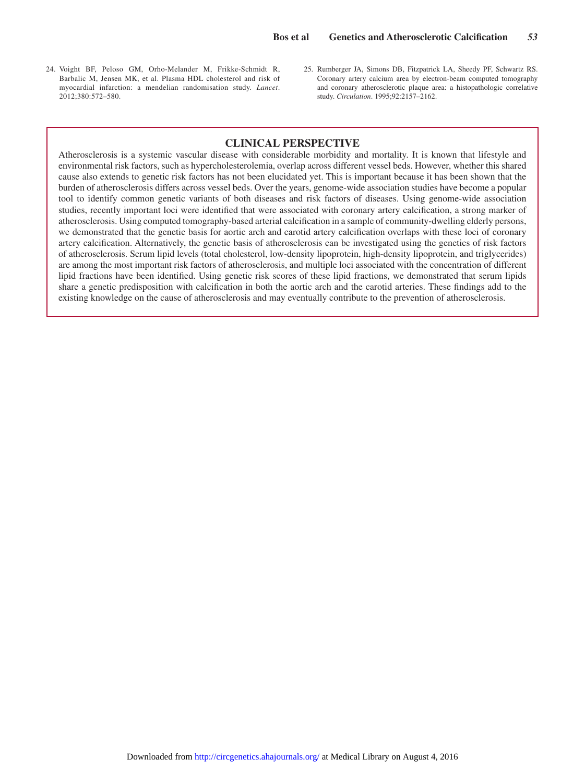- 24. Voight BF, Peloso GM, Orho-Melander M, Frikke-Schmidt R, Barbalic M, Jensen MK, et al. Plasma HDL cholesterol and risk of myocardial infarction: a mendelian randomisation study. *Lancet*. 2012;380:572–580.
- 25. Rumberger JA, Simons DB, Fitzpatrick LA, Sheedy PF, Schwartz RS. Coronary artery calcium area by electron-beam computed tomography and coronary atherosclerotic plaque area: a histopathologic correlative study. *Circulation*. 1995;92:2157–2162.

# **CLINICAL PERSPECTIVE**

Atherosclerosis is a systemic vascular disease with considerable morbidity and mortality. It is known that lifestyle and environmental risk factors, such as hypercholesterolemia, overlap across different vessel beds. However, whether this shared cause also extends to genetic risk factors has not been elucidated yet. This is important because it has been shown that the burden of atherosclerosis differs across vessel beds. Over the years, genome-wide association studies have become a popular tool to identify common genetic variants of both diseases and risk factors of diseases. Using genome-wide association studies, recently important loci were identified that were associated with coronary artery calcification, a strong marker of atherosclerosis. Using computed tomography-based arterial calcification in a sample of community-dwelling elderly persons, we demonstrated that the genetic basis for aortic arch and carotid artery calcification overlaps with these loci of coronary artery calcification. Alternatively, the genetic basis of atherosclerosis can be investigated using the genetics of risk factors of atherosclerosis. Serum lipid levels (total cholesterol, low-density lipoprotein, high-density lipoprotein, and triglycerides) are among the most important risk factors of atherosclerosis, and multiple loci associated with the concentration of different lipid fractions have been identified. Using genetic risk scores of these lipid fractions, we demonstrated that serum lipids share a genetic predisposition with calcification in both the aortic arch and the carotid arteries. These findings add to the existing knowledge on the cause of atherosclerosis and may eventually contribute to the prevention of atherosclerosis.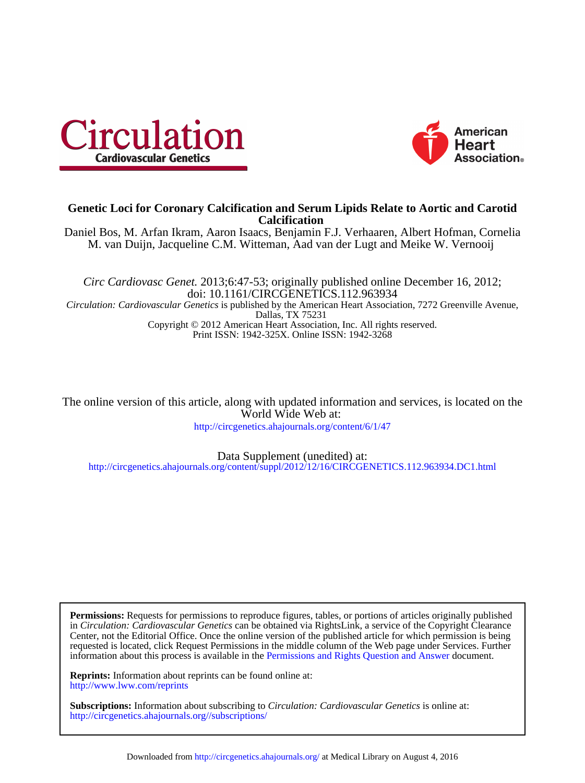



# **Calcification Genetic Loci for Coronary Calcification and Serum Lipids Relate to Aortic and Carotid**

M. van Duijn, Jacqueline C.M. Witteman, Aad van der Lugt and Meike W. Vernooij Daniel Bos, M. Arfan Ikram, Aaron Isaacs, Benjamin F.J. Verhaaren, Albert Hofman, Cornelia

Print ISSN: 1942-325X. Online ISSN: 1942-3268 Copyright © 2012 American Heart Association, Inc. All rights reserved. Dallas, TX 75231 *Circulation: Cardiovascular Genetics* is published by the American Heart Association, 7272 Greenville Avenue, doi: 10.1161/CIRCGENETICS.112.963934 *Circ Cardiovasc Genet.* 2013;6:47-53; originally published online December 16, 2012;

<http://circgenetics.ahajournals.org/content/6/1/47> World Wide Web at: The online version of this article, along with updated information and services, is located on the

Data Supplement (unedited) at:

<http://circgenetics.ahajournals.org/content/suppl/2012/12/16/CIRCGENETICS.112.963934.DC1.html>

information about this process is available in the [Permissions and Rights Question and Answer d](http://www.ahajournals.org/site/rights/)ocument. requested is located, click Request Permissions in the middle column of the Web page under Services. Further Center, not the Editorial Office. Once the online version of the published article for which permission is being in *Circulation: Cardiovascular Genetics* can be obtained via RightsLink, a service of the Copyright Clearance **Permissions:** Requests for permissions to reproduce figures, tables, or portions of articles originally published

<http://www.lww.com/reprints> **Reprints:** Information about reprints can be found online at:

<http://circgenetics.ahajournals.org//subscriptions/> **Subscriptions:** Information about subscribing to *Circulation: Cardiovascular Genetics* is online at: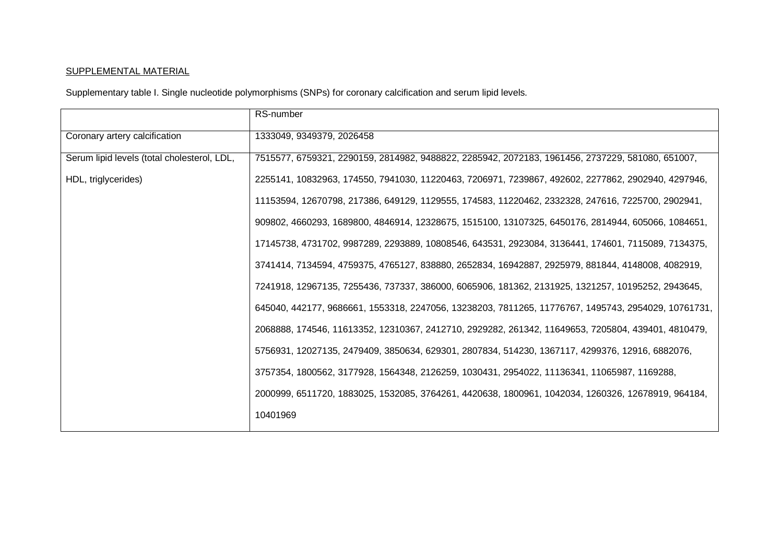# SUPPLEMENTAL MATERIAL

Supplementary table I. Single nucleotide polymorphisms (SNPs) for coronary calcification and serum lipid levels.

|                                             | RS-number                                                                                           |
|---------------------------------------------|-----------------------------------------------------------------------------------------------------|
| Coronary artery calcification               | 1333049, 9349379, 2026458                                                                           |
| Serum lipid levels (total cholesterol, LDL, | 7515577, 6759321, 2290159, 2814982, 9488822, 2285942, 2072183, 1961456, 2737229, 581080, 651007,    |
| HDL, triglycerides)                         | 2255141, 10832963, 174550, 7941030, 11220463, 7206971, 7239867, 492602, 2277862, 2902940, 4297946,  |
|                                             | 11153594, 12670798, 217386, 649129, 1129555, 174583, 11220462, 2332328, 247616, 7225700, 2902941,   |
|                                             | 909802, 4660293, 1689800, 4846914, 12328675, 1515100, 13107325, 6450176, 2814944, 605066, 1084651,  |
|                                             | 17145738, 4731702, 9987289, 2293889, 10808546, 643531, 2923084, 3136441, 174601, 7115089, 7134375,  |
|                                             | 3741414, 7134594, 4759375, 4765127, 838880, 2652834, 16942887, 2925979, 881844, 4148008, 4082919,   |
|                                             | 7241918, 12967135, 7255436, 737337, 386000, 6065906, 181362, 2131925, 1321257, 10195252, 2943645,   |
|                                             | 645040, 442177, 9686661, 1553318, 2247056, 13238203, 7811265, 11776767, 1495743, 2954029, 10761731, |
|                                             | 2068888, 174546, 11613352, 12310367, 2412710, 2929282, 261342, 11649653, 7205804, 439401, 4810479,  |
|                                             | 5756931, 12027135, 2479409, 3850634, 629301, 2807834, 514230, 1367117, 4299376, 12916, 6882076,     |
|                                             | 3757354, 1800562, 3177928, 1564348, 2126259, 1030431, 2954022, 11136341, 11065987, 1169288,         |
|                                             | 2000999, 6511720, 1883025, 1532085, 3764261, 4420638, 1800961, 1042034, 1260326, 12678919, 964184,  |
|                                             | 10401969                                                                                            |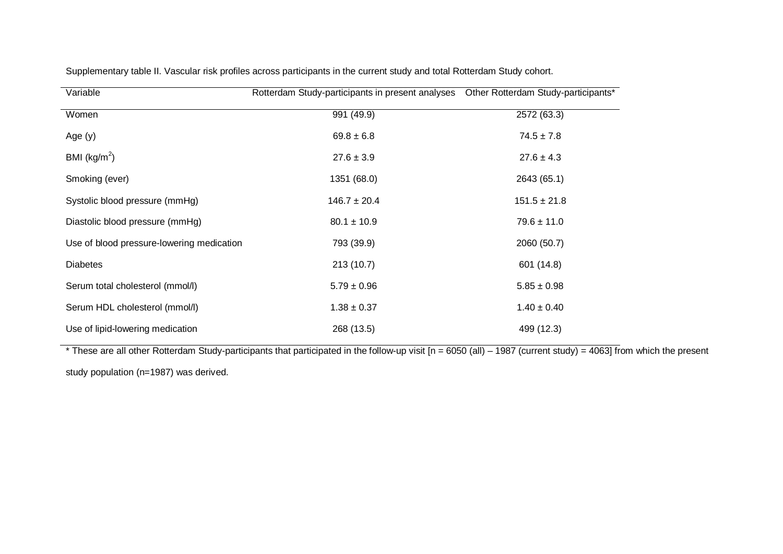| Variable                                  | Rotterdam Study-participants in present analyses | Other Rotterdam Study-participants* |
|-------------------------------------------|--------------------------------------------------|-------------------------------------|
| Women                                     | 991 (49.9)                                       | 2572 (63.3)                         |
| Age $(y)$                                 | $69.8 \pm 6.8$                                   | $74.5 \pm 7.8$                      |
| BMI ( $\text{kg/m}^2$ )                   | $27.6 \pm 3.9$                                   | $27.6 \pm 4.3$                      |
| Smoking (ever)                            | 1351 (68.0)                                      | 2643 (65.1)                         |
| Systolic blood pressure (mmHg)            | $146.7 \pm 20.4$                                 | $151.5 \pm 21.8$                    |
| Diastolic blood pressure (mmHg)           | $80.1 \pm 10.9$                                  | $79.6 \pm 11.0$                     |
| Use of blood pressure-lowering medication | 793 (39.9)                                       | 2060 (50.7)                         |
| <b>Diabetes</b>                           | 213(10.7)                                        | 601 (14.8)                          |
| Serum total cholesterol (mmol/l)          | $5.79 \pm 0.96$                                  | $5.85 \pm 0.98$                     |
| Serum HDL cholesterol (mmol/l)            | $1.38 \pm 0.37$                                  | $1.40 \pm 0.40$                     |
| Use of lipid-lowering medication          | 268 (13.5)                                       | 499 (12.3)                          |

Supplementary table II. Vascular risk profiles across participants in the current study and total Rotterdam Study cohort.

 $*$  These are all other Rotterdam Study-participants that participated in the follow-up visit  $[n = 6050$  (all) – 1987 (current study) = 4063] from which the present

study population (n=1987) was derived.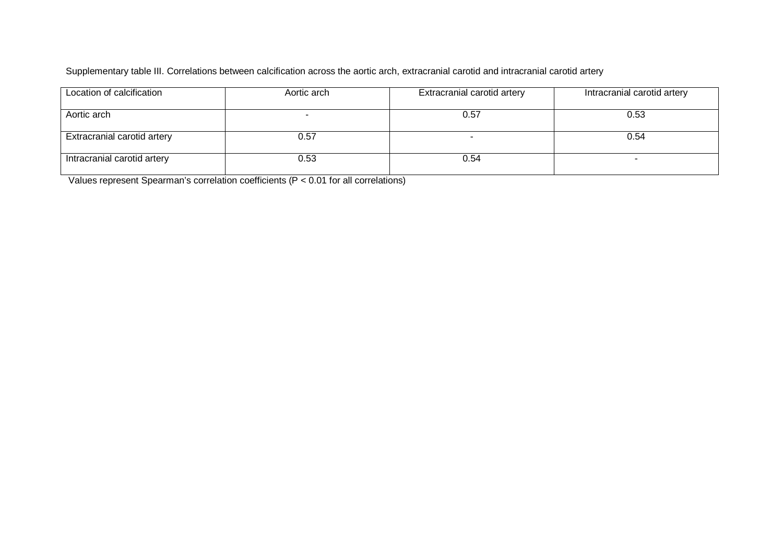# Supplementary table III. Correlations between calcification across the aortic arch, extracranial carotid and intracranial carotid artery

| Location of calcification   | Aortic arch | Extracranial carotid artery | Intracranial carotid artery |
|-----------------------------|-------------|-----------------------------|-----------------------------|
|                             |             |                             |                             |
| Aortic arch                 |             | 0.57                        | 0.53                        |
|                             |             |                             |                             |
| Extracranial carotid artery | 0.57        |                             | 0.54                        |
|                             |             |                             |                             |
| Intracranial carotid artery | 0.53        | 0.54                        |                             |
|                             |             |                             |                             |

Values represent Spearman's correlation coefficients (P < 0.01 for all correlations)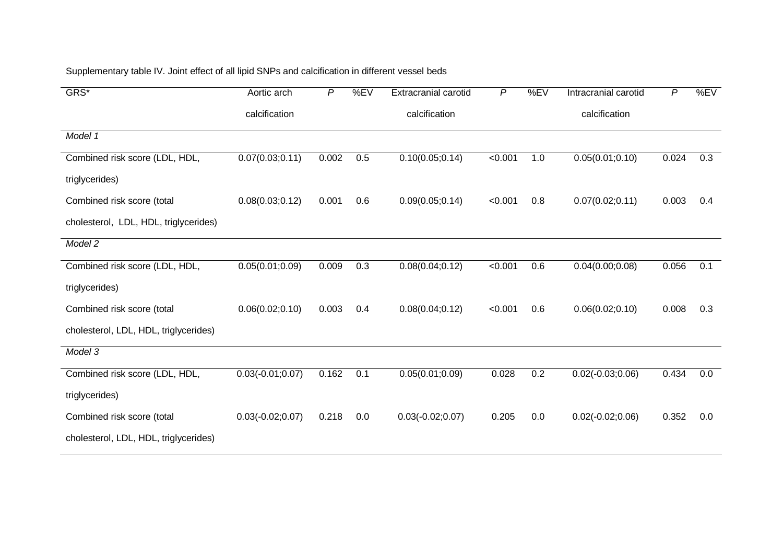| GRS*                                  | Aortic arch        | $\boldsymbol{P}$ | $%$ EV | <b>Extracranial carotid</b>  | $\boldsymbol{P}$ | $%$ EV | Intracranial carotid | $\mathsf{P}$ | %EV |
|---------------------------------------|--------------------|------------------|--------|------------------------------|------------------|--------|----------------------|--------------|-----|
|                                       | calcification      |                  |        | calcification                |                  |        | calcification        |              |     |
| Model 1                               |                    |                  |        |                              |                  |        |                      |              |     |
| Combined risk score (LDL, HDL,        | 0.07(0.03;0.11)    | 0.002            | 0.5    | $0.\overline{10(0.05;0.14)}$ | < 0.001          | 1.0    | 0.05(0.01;0.10)      | 0.024        | 0.3 |
| triglycerides)                        |                    |                  |        |                              |                  |        |                      |              |     |
| Combined risk score (total            | 0.08(0.03;0.12)    | 0.001            | 0.6    | 0.09(0.05; 0.14)             | < 0.001          | 0.8    | 0.07(0.02;0.11)      | 0.003        | 0.4 |
| cholesterol, LDL, HDL, triglycerides) |                    |                  |        |                              |                  |        |                      |              |     |
| Model 2                               |                    |                  |        |                              |                  |        |                      |              |     |
| Combined risk score (LDL, HDL,        | 0.05(0.01;0.09)    | 0.009            | 0.3    | 0.08(0.04;0.12)              | < 0.001          | 0.6    | 0.04(0.00; 0.08)     | 0.056        | 0.1 |
| triglycerides)                        |                    |                  |        |                              |                  |        |                      |              |     |
| Combined risk score (total            | 0.06(0.02;0.10)    | 0.003            | 0.4    | 0.08(0.04;0.12)              | < 0.001          | 0.6    | 0.06(0.02;0.10)      | 0.008        | 0.3 |
| cholesterol, LDL, HDL, triglycerides) |                    |                  |        |                              |                  |        |                      |              |     |
| Model 3                               |                    |                  |        |                              |                  |        |                      |              |     |
| Combined risk score (LDL, HDL,        | $0.03(-0.01;0.07)$ | 0.162            | 0.1    | 0.05(0.01;0.09)              | 0.028            | 0.2    | $0.02(-0.03;0.06)$   | 0.434        | 0.0 |
| triglycerides)                        |                    |                  |        |                              |                  |        |                      |              |     |
| Combined risk score (total            | $0.03(-0.02;0.07)$ | 0.218            | 0.0    | $0.03(-0.02;0.07)$           | 0.205            | 0.0    | $0.02(-0.02;0.06)$   | 0.352        | 0.0 |
| cholesterol, LDL, HDL, triglycerides) |                    |                  |        |                              |                  |        |                      |              |     |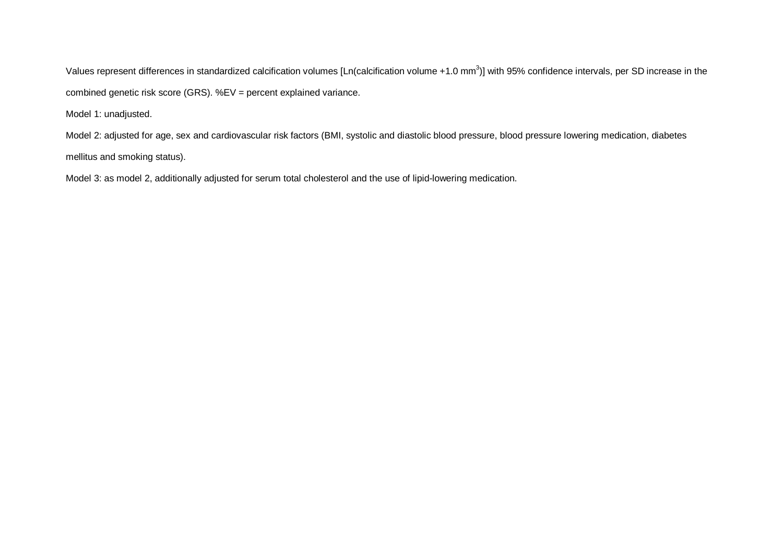Values represent differences in standardized calcification volumes [Ln(calcification volume +1.0 mm<sup>3</sup>)] with 95% confidence intervals, per SD increase in the combined genetic risk score (GRS). %EV = percent explained variance.

Model 1: unadjusted.

Model 2: adjusted for age, sex and cardiovascular risk factors (BMI, systolic and diastolic blood pressure, blood pressure lowering medication, diabetes mellitus and smoking status).

Model 3: as model 2, additionally adjusted for serum total cholesterol and the use of lipid-lowering medication.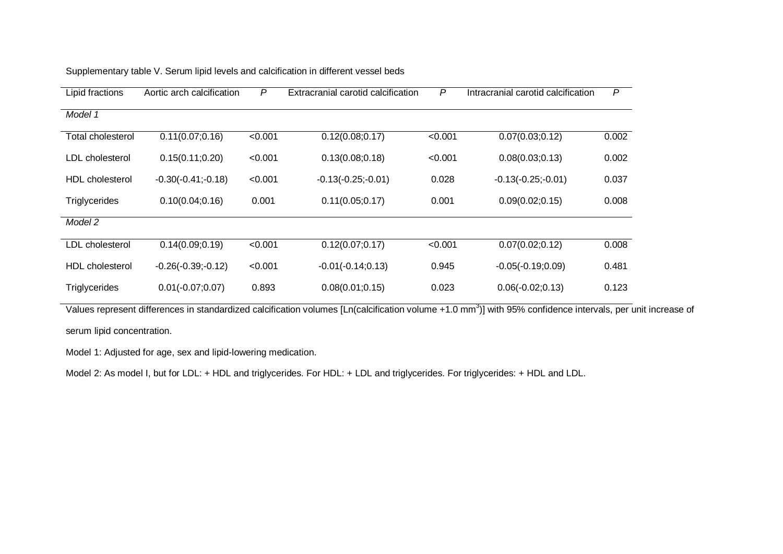| Lipid fractions          | Aortic arch calcification | P       | Extracranial carotid calcification | P       | Intracranial carotid calcification | $\mathsf{P}$ |
|--------------------------|---------------------------|---------|------------------------------------|---------|------------------------------------|--------------|
| Model 1                  |                           |         |                                    |         |                                    |              |
| <b>Total cholesterol</b> | 0.11(0.07;0.16)           | < 0.001 | 0.12(0.08; 0.17)                   | < 0.001 | 0.07(0.03;0.12)                    | 0.002        |
| LDL cholesterol          | 0.15(0.11; 0.20)          | < 0.001 | 0.13(0.08;0.18)                    | < 0.001 | 0.08(0.03;0.13)                    | 0.002        |
| <b>HDL</b> cholesterol   | $-0.30(-0.41,-0.18)$      | < 0.001 | $-0.13(-0.25,-0.01)$               | 0.028   | $-0.13(-0.25,-0.01)$               | 0.037        |
| <b>Triglycerides</b>     | 0.10(0.04; 0.16)          | 0.001   | 0.11(0.05;0.17)                    | 0.001   | 0.09(0.02;0.15)                    | 0.008        |
| Model 2                  |                           |         |                                    |         |                                    |              |
| LDL cholesterol          | 0.14(0.09; 0.19)          | < 0.001 | 0.12(0.07;0.17)                    | < 0.001 | 0.07(0.02;0.12)                    | 0.008        |
| <b>HDL</b> cholesterol   | $-0.26(-0.39,-0.12)$      | < 0.001 | $-0.01(-0.14;0.13)$                | 0.945   | $-0.05(-0.19;0.09)$                | 0.481        |
| Triglycerides            | $0.01(-0.07;0.07)$        | 0.893   | 0.08(0.01;0.15)                    | 0.023   | $0.06(-0.02;0.13)$                 | 0.123        |

Supplementary table V. Serum lipid levels and calcification in different vessel beds

Values represent differences in standardized calcification volumes [Ln(calcification volume +1.0 mm<sup>3</sup>)] with 95% confidence intervals, per unit increase of

serum lipid concentration.

Model 1: Adjusted for age, sex and lipid-lowering medication.

Model 2: As model I, but for LDL: + HDL and triglycerides. For HDL: + LDL and triglycerides. For triglycerides: + HDL and LDL.